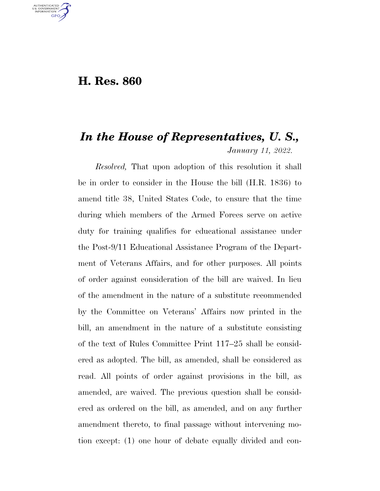## **H. Res. 860**

U.S. GOVERNMENT **GPO** 

## *In the House of Representatives, U. S., January 11, 2022.*

*Resolved,* That upon adoption of this resolution it shall be in order to consider in the House the bill (H.R. 1836) to amend title 38, United States Code, to ensure that the time during which members of the Armed Forces serve on active duty for training qualifies for educational assistance under the Post-9/11 Educational Assistance Program of the Department of Veterans Affairs, and for other purposes. All points of order against consideration of the bill are waived. In lieu of the amendment in the nature of a substitute recommended by the Committee on Veterans' Affairs now printed in the bill, an amendment in the nature of a substitute consisting of the text of Rules Committee Print 117–25 shall be considered as adopted. The bill, as amended, shall be considered as read. All points of order against provisions in the bill, as amended, are waived. The previous question shall be considered as ordered on the bill, as amended, and on any further amendment thereto, to final passage without intervening motion except: (1) one hour of debate equally divided and con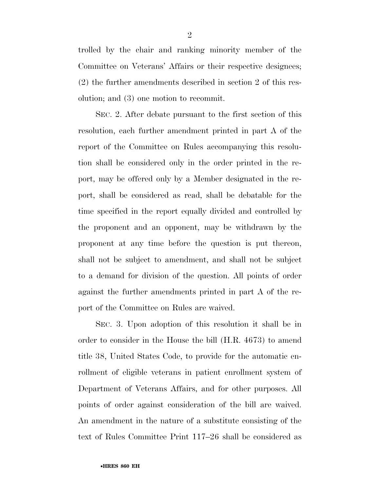trolled by the chair and ranking minority member of the Committee on Veterans' Affairs or their respective designees; (2) the further amendments described in section 2 of this resolution; and (3) one motion to recommit.

SEC. 2. After debate pursuant to the first section of this resolution, each further amendment printed in part A of the report of the Committee on Rules accompanying this resolution shall be considered only in the order printed in the report, may be offered only by a Member designated in the report, shall be considered as read, shall be debatable for the time specified in the report equally divided and controlled by the proponent and an opponent, may be withdrawn by the proponent at any time before the question is put thereon, shall not be subject to amendment, and shall not be subject to a demand for division of the question. All points of order against the further amendments printed in part A of the report of the Committee on Rules are waived.

SEC. 3. Upon adoption of this resolution it shall be in order to consider in the House the bill (H.R. 4673) to amend title 38, United States Code, to provide for the automatic enrollment of eligible veterans in patient enrollment system of Department of Veterans Affairs, and for other purposes. All points of order against consideration of the bill are waived. An amendment in the nature of a substitute consisting of the text of Rules Committee Print 117–26 shall be considered as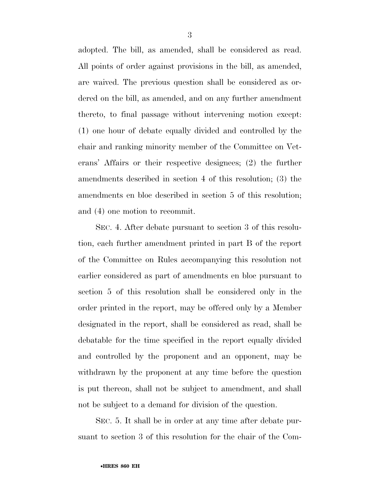adopted. The bill, as amended, shall be considered as read. All points of order against provisions in the bill, as amended, are waived. The previous question shall be considered as ordered on the bill, as amended, and on any further amendment thereto, to final passage without intervening motion except: (1) one hour of debate equally divided and controlled by the chair and ranking minority member of the Committee on Veterans' Affairs or their respective designees; (2) the further amendments described in section 4 of this resolution; (3) the amendments en bloc described in section 5 of this resolution; and (4) one motion to recommit.

SEC. 4. After debate pursuant to section 3 of this resolution, each further amendment printed in part B of the report of the Committee on Rules accompanying this resolution not earlier considered as part of amendments en bloc pursuant to section 5 of this resolution shall be considered only in the order printed in the report, may be offered only by a Member designated in the report, shall be considered as read, shall be debatable for the time specified in the report equally divided and controlled by the proponent and an opponent, may be withdrawn by the proponent at any time before the question is put thereon, shall not be subject to amendment, and shall not be subject to a demand for division of the question.

SEC. 5. It shall be in order at any time after debate pursuant to section 3 of this resolution for the chair of the Com